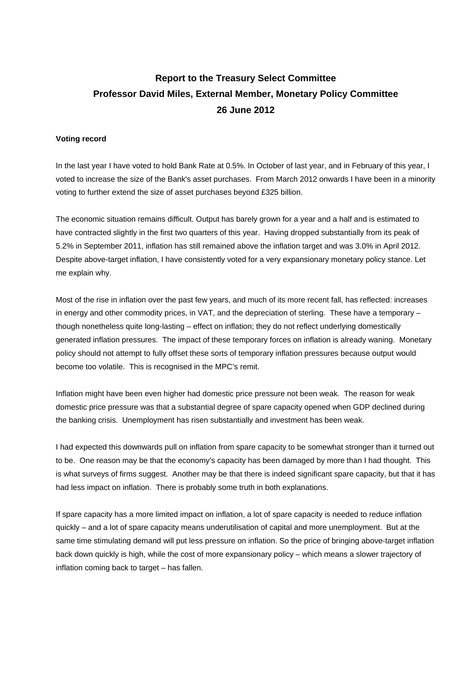## **Report to the Treasury Select Committee Professor David Miles, External Member, Monetary Policy Committee 26 June 2012**

## **Voting record**

In the last year I have voted to hold Bank Rate at 0.5%. In October of last year, and in February of this year, I voted to increase the size of the Bank's asset purchases. From March 2012 onwards I have been in a minority voting to further extend the size of asset purchases beyond £325 billion.

The economic situation remains difficult. Output has barely grown for a year and a half and is estimated to have contracted slightly in the first two quarters of this year. Having dropped substantially from its peak of 5.2% in September 2011, inflation has still remained above the inflation target and was 3.0% in April 2012. Despite above-target inflation, I have consistently voted for a very expansionary monetary policy stance. Let me explain why.

Most of the rise in inflation over the past few years, and much of its more recent fall, has reflected: increases in energy and other commodity prices, in VAT, and the depreciation of sterling. These have a temporary – though nonetheless quite long-lasting – effect on inflation; they do not reflect underlying domestically generated inflation pressures. The impact of these temporary forces on inflation is already waning. Monetary policy should not attempt to fully offset these sorts of temporary inflation pressures because output would become too volatile. This is recognised in the MPC's remit.

Inflation might have been even higher had domestic price pressure not been weak. The reason for weak domestic price pressure was that a substantial degree of spare capacity opened when GDP declined during the banking crisis. Unemployment has risen substantially and investment has been weak.

I had expected this downwards pull on inflation from spare capacity to be somewhat stronger than it turned out to be. One reason may be that the economy's capacity has been damaged by more than I had thought. This is what surveys of firms suggest. Another may be that there is indeed significant spare capacity, but that it has had less impact on inflation. There is probably some truth in both explanations.

If spare capacity has a more limited impact on inflation, a lot of spare capacity is needed to reduce inflation quickly – and a lot of spare capacity means underutilisation of capital and more unemployment. But at the same time stimulating demand will put less pressure on inflation. So the price of bringing above-target inflation back down quickly is high, while the cost of more expansionary policy – which means a slower trajectory of inflation coming back to target – has fallen.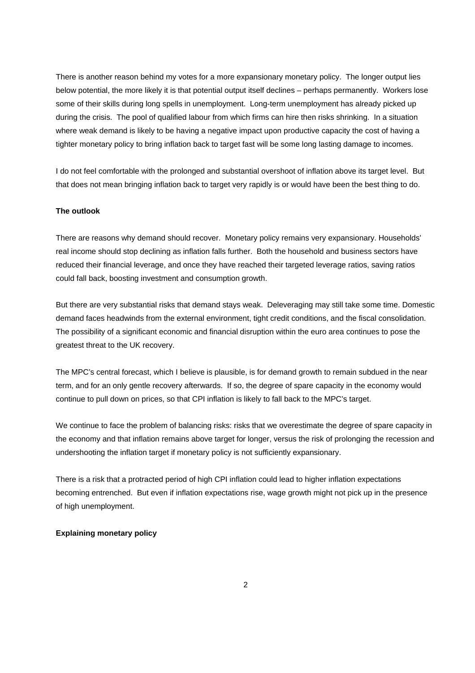There is another reason behind my votes for a more expansionary monetary policy. The longer output lies below potential, the more likely it is that potential output itself declines – perhaps permanently. Workers lose some of their skills during long spells in unemployment. Long-term unemployment has already picked up during the crisis. The pool of qualified labour from which firms can hire then risks shrinking. In a situation where weak demand is likely to be having a negative impact upon productive capacity the cost of having a tighter monetary policy to bring inflation back to target fast will be some long lasting damage to incomes.

I do not feel comfortable with the prolonged and substantial overshoot of inflation above its target level. But that does not mean bringing inflation back to target very rapidly is or would have been the best thing to do.

## **The outlook**

There are reasons why demand should recover. Monetary policy remains very expansionary. Households' real income should stop declining as inflation falls further. Both the household and business sectors have reduced their financial leverage, and once they have reached their targeted leverage ratios, saving ratios could fall back, boosting investment and consumption growth.

But there are very substantial risks that demand stays weak. Deleveraging may still take some time. Domestic demand faces headwinds from the external environment, tight credit conditions, and the fiscal consolidation. The possibility of a significant economic and financial disruption within the euro area continues to pose the greatest threat to the UK recovery.

The MPC's central forecast, which I believe is plausible, is for demand growth to remain subdued in the near term, and for an only gentle recovery afterwards. If so, the degree of spare capacity in the economy would continue to pull down on prices, so that CPI inflation is likely to fall back to the MPC's target.

We continue to face the problem of balancing risks: risks that we overestimate the degree of spare capacity in the economy and that inflation remains above target for longer, versus the risk of prolonging the recession and undershooting the inflation target if monetary policy is not sufficiently expansionary.

There is a risk that a protracted period of high CPI inflation could lead to higher inflation expectations becoming entrenched. But even if inflation expectations rise, wage growth might not pick up in the presence of high unemployment.

## **Explaining monetary policy**